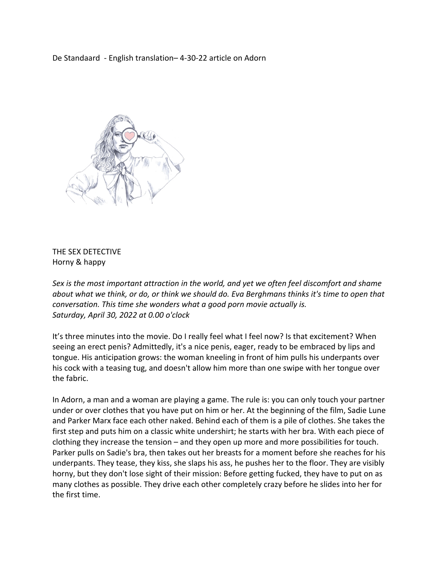De Standaard - English translation– 4-30-22 article on Adorn



## THE SEX DETECTIVE Horny & happy

*Sex is the most important attraction in the world, and yet we often feel discomfort and shame about what we think, or do, or think we should do. Eva Berghmans thinks it's time to open that conversation. This time she wonders what a good porn movie actually is. Saturday, April 30, 2022 at 0.00 o'clock*

It's three minutes into the movie. Do I really feel what I feel now? Is that excitement? When seeing an erect penis? Admittedly, it's a nice penis, eager, ready to be embraced by lips and tongue. His anticipation grows: the woman kneeling in front of him pulls his underpants over his cock with a teasing tug, and doesn't allow him more than one swipe with her tongue over the fabric.

In Adorn, a man and a woman are playing a game. The rule is: you can only touch your partner under or over clothes that you have put on him or her. At the beginning of the film, Sadie Lune and Parker Marx face each other naked. Behind each of them is a pile of clothes. She takes the first step and puts him on a classic white undershirt; he starts with her bra. With each piece of clothing they increase the tension – and they open up more and more possibilities for touch. Parker pulls on Sadie's bra, then takes out her breasts for a moment before she reaches for his underpants. They tease, they kiss, she slaps his ass, he pushes her to the floor. They are visibly horny, but they don't lose sight of their mission: Before getting fucked, they have to put on as many clothes as possible. They drive each other completely crazy before he slides into her for the first time.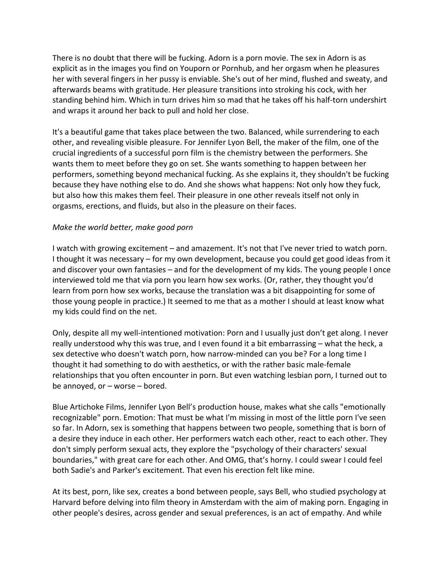There is no doubt that there will be fucking. Adorn is a porn movie. The sex in Adorn is as explicit as in the images you find on Youporn or Pornhub, and her orgasm when he pleasures her with several fingers in her pussy is enviable. She's out of her mind, flushed and sweaty, and afterwards beams with gratitude. Her pleasure transitions into stroking his cock, with her standing behind him. Which in turn drives him so mad that he takes off his half-torn undershirt and wraps it around her back to pull and hold her close.

It's a beautiful game that takes place between the two. Balanced, while surrendering to each other, and revealing visible pleasure. For Jennifer Lyon Bell, the maker of the film, one of the crucial ingredients of a successful porn film is the chemistry between the performers. She wants them to meet before they go on set. She wants something to happen between her performers, something beyond mechanical fucking. As she explains it, they shouldn't be fucking because they have nothing else to do. And she shows what happens: Not only how they fuck, but also how this makes them feel. Their pleasure in one other reveals itself not only in orgasms, erections, and fluids, but also in the pleasure on their faces.

## *Make the world better, make good porn*

I watch with growing excitement – and amazement. It's not that I've never tried to watch porn. I thought it was necessary – for my own development, because you could get good ideas from it and discover your own fantasies – and for the development of my kids. The young people I once interviewed told me that via porn you learn how sex works. (Or, rather, they thought you'd learn from porn how sex works, because the translation was a bit disappointing for some of those young people in practice.) It seemed to me that as a mother I should at least know what my kids could find on the net.

Only, despite all my well-intentioned motivation: Porn and I usually just don't get along. I never really understood why this was true, and I even found it a bit embarrassing – what the heck, a sex detective who doesn't watch porn, how narrow-minded can you be? For a long time I thought it had something to do with aesthetics, or with the rather basic male-female relationships that you often encounter in porn. But even watching lesbian porn, I turned out to be annoyed, or – worse – bored.

Blue Artichoke Films, Jennifer Lyon Bell's production house, makes what she calls "emotionally recognizable" porn. Emotion: That must be what I'm missing in most of the little porn I've seen so far. In Adorn, sex is something that happens between two people, something that is born of a desire they induce in each other. Her performers watch each other, react to each other. They don't simply perform sexual acts, they explore the "psychology of their characters' sexual boundaries," with great care for each other. And OMG, that's horny. I could swear I could feel both Sadie's and Parker's excitement. That even his erection felt like mine.

At its best, porn, like sex, creates a bond between people, says Bell, who studied psychology at Harvard before delving into film theory in Amsterdam with the aim of making porn. Engaging in other people's desires, across gender and sexual preferences, is an act of empathy. And while